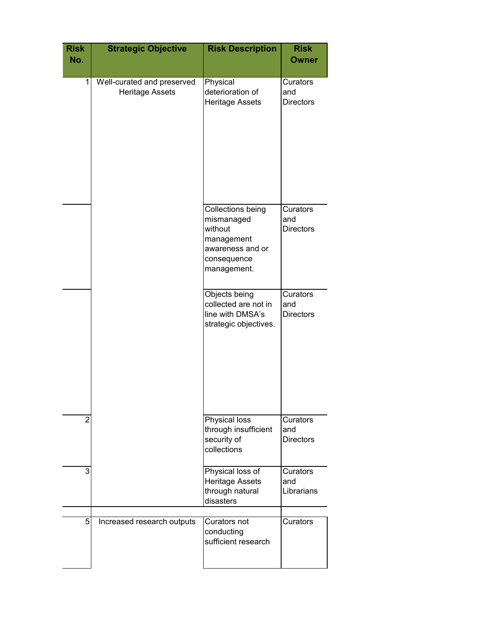| <b>Risk</b><br>No. | <b>Strategic Objective</b>                           | <b>Risk Description</b>                                                                                    | <b>Risk</b><br><b>Owner</b>         |
|--------------------|------------------------------------------------------|------------------------------------------------------------------------------------------------------------|-------------------------------------|
| $\mathbf 1$        | Well-curated and preserved<br><b>Heritage Assets</b> | Physical<br>deterioration of<br><b>Heritage Assets</b>                                                     | Curators<br>and<br><b>Directors</b> |
|                    |                                                      | Collections being<br>mismanaged<br>without<br>management<br>awareness and or<br>consequence<br>management. | Curators<br>and<br><b>Directors</b> |
|                    |                                                      | Objects being<br>collected are not in<br>line with DMSA's<br>strategic objectives.                         | Curators<br>and<br><b>Directors</b> |
| $\overline{2}$     |                                                      | <b>Physical loss</b><br>through insufficient<br>security of<br>collections                                 | Curators<br>and<br><b>Directors</b> |
| 3                  |                                                      | Physical loss of<br><b>Heritage Assets</b><br>through natural<br>disasters                                 | Curators<br>and<br>Librarians       |
| 5                  | Increased research outputs                           | Curators not<br>conducting<br>sufficient research                                                          | <b>Curators</b>                     |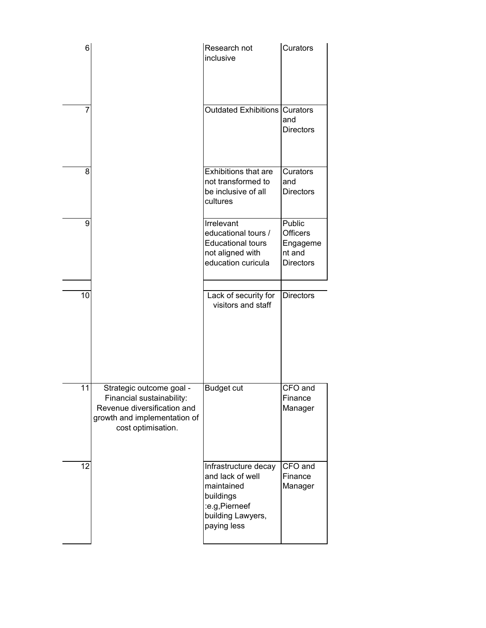| 6  |                                                                                                                                            | Research not<br>inclusive                                                                                                | Curators                                                            |
|----|--------------------------------------------------------------------------------------------------------------------------------------------|--------------------------------------------------------------------------------------------------------------------------|---------------------------------------------------------------------|
| 7  |                                                                                                                                            | <b>Outdated Exhibitions</b>                                                                                              | Curators<br>and<br><b>Directors</b>                                 |
| 8  |                                                                                                                                            | <b>Exhibitions that are</b><br>not transformed to<br>be inclusive of all<br>cultures                                     | Curators<br>and<br><b>Directors</b>                                 |
| 9  |                                                                                                                                            | Irrelevant<br>educational tours /<br><b>Educational tours</b><br>not aligned with<br>education curicula                  | <b>Public</b><br>Officers<br>Engageme<br>nt and<br><b>Directors</b> |
| 10 |                                                                                                                                            | Lack of security for<br>visitors and staff                                                                               | <b>Directors</b>                                                    |
| 11 | Strategic outcome goal -<br>Financial sustainability:<br>Revenue diversification and<br>growth and implementation of<br>cost optimisation. | <b>Budget cut</b>                                                                                                        | CFO and<br>Finance<br>Manager                                       |
| 12 |                                                                                                                                            | Infrastructure decay<br>and lack of well<br>maintained<br>buildings<br>:e.g,Pierneef<br>building Lawyers,<br>paying less | CFO and<br>Finance<br>Manager                                       |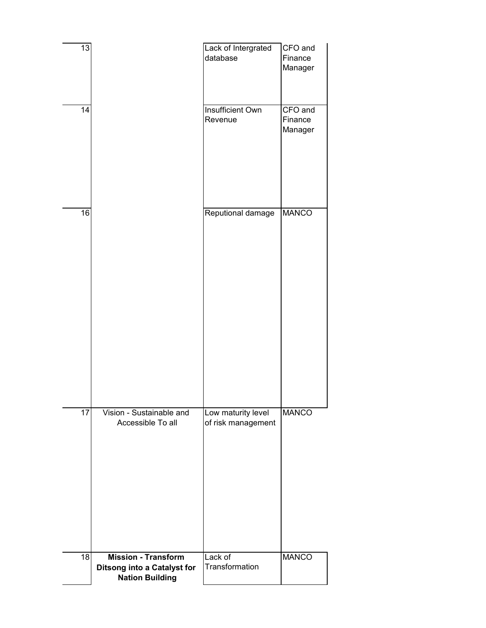| 13<br>14        |                                                                                            | Lack of Intergrated<br>database<br>Insufficient Own<br>Revenue | CFO and<br>Finance<br>Manager<br>CFO and<br>Finance<br>Manager |
|-----------------|--------------------------------------------------------------------------------------------|----------------------------------------------------------------|----------------------------------------------------------------|
| 16              |                                                                                            | Reputional damage                                              | <b>MANCO</b>                                                   |
|                 |                                                                                            |                                                                |                                                                |
| $\overline{17}$ | Vision - Sustainable and<br>Accessible To all                                              | Low maturity level<br>of risk management                       | <b>MANCO</b>                                                   |
|                 |                                                                                            |                                                                |                                                                |
| 18              | <b>Mission - Transform</b><br><b>Ditsong into a Catalyst for</b><br><b>Nation Building</b> | Lack of<br>Transformation                                      | <b>MANCO</b>                                                   |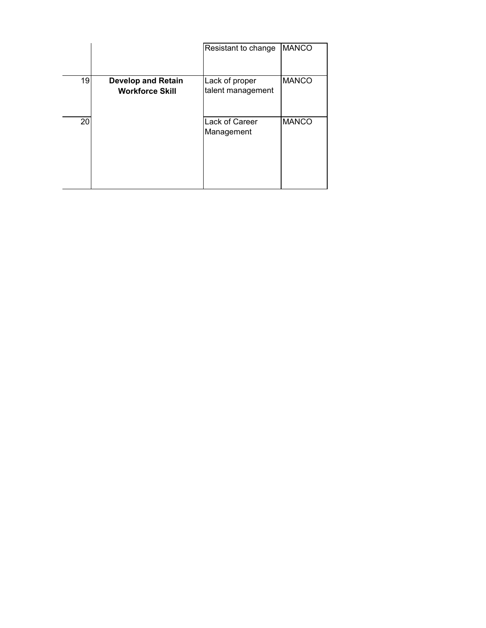|    |                                                     | Resistant to change                 | <b>MANCO</b> |
|----|-----------------------------------------------------|-------------------------------------|--------------|
|    |                                                     |                                     |              |
| 19 | <b>Develop and Retain</b><br><b>Workforce Skill</b> | Lack of proper<br>talent management | <b>MANCO</b> |
| 20 |                                                     | Lack of Career<br>Management        | <b>MANCO</b> |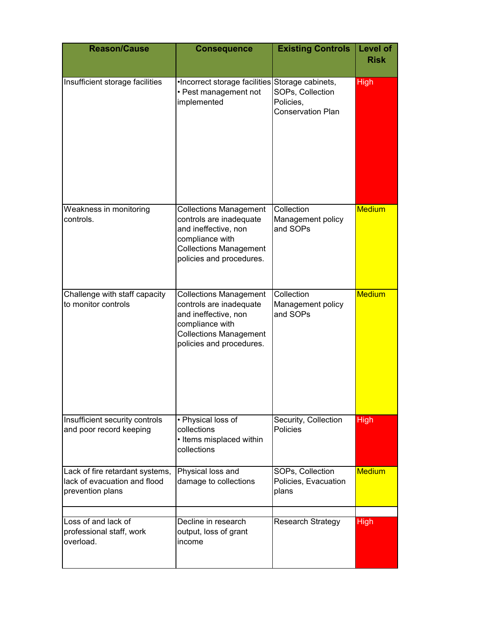| <b>Reason/Cause</b>                                                                 | <b>Consequence</b>                                                                                                                                               | <b>Existing Controls</b>                                  | Level of<br><b>Risk</b> |
|-------------------------------------------------------------------------------------|------------------------------------------------------------------------------------------------------------------------------------------------------------------|-----------------------------------------------------------|-------------------------|
| Insufficient storage facilities                                                     | •Incorrect storage facilities Storage cabinets,<br>• Pest management not<br>implemented                                                                          | SOPs, Collection<br>Policies,<br><b>Conservation Plan</b> | <b>High</b>             |
| Weakness in monitoring<br>controls.                                                 | <b>Collections Management</b><br>controls are inadequate<br>and ineffective, non<br>compliance with<br><b>Collections Management</b><br>policies and procedures. | Collection<br>Management policy<br>and SOPs               | <b>Medium</b>           |
| Challenge with staff capacity<br>to monitor controls                                | <b>Collections Management</b><br>controls are inadequate<br>and ineffective, non<br>compliance with<br><b>Collections Management</b><br>policies and procedures. | Collection<br>Management policy<br>and SOPs               | <b>Medium</b>           |
| Insufficient security controls<br>and poor record keeping                           | • Physical loss of<br>collections<br>• Items misplaced within<br>collections                                                                                     | Security, Collection<br><b>Policies</b>                   | <b>High</b>             |
| Lack of fire retardant systems,<br>lack of evacuation and flood<br>prevention plans | Physical loss and<br>damage to collections                                                                                                                       | SOPs, Collection<br>Policies, Evacuation<br>plans         | <b>Medium</b>           |
| Loss of and lack of<br>professional staff, work<br>overload.                        | Decline in research<br>output, loss of grant<br>income                                                                                                           | <b>Research Strategy</b>                                  | <b>High</b>             |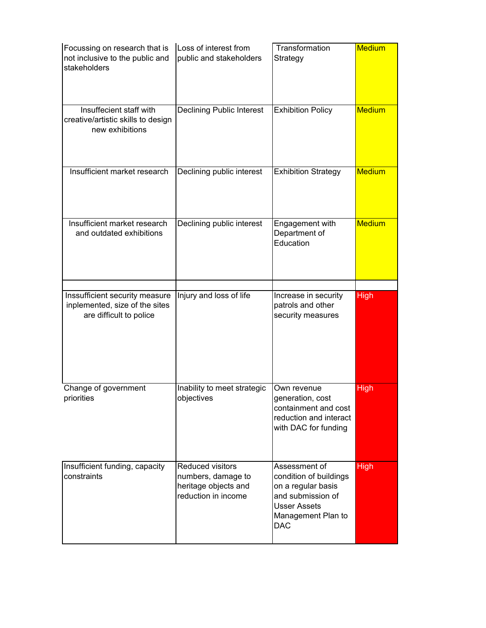| Focussing on research that is<br>not inclusive to the public and<br>stakeholders            | Loss of interest from<br>public and stakeholders                                      | Transformation<br>Strategy                                                                                                                    | <b>Medium</b> |
|---------------------------------------------------------------------------------------------|---------------------------------------------------------------------------------------|-----------------------------------------------------------------------------------------------------------------------------------------------|---------------|
| Insuffecient staff with<br>creative/artistic skills to design<br>new exhibitions            | <b>Declining Public Interest</b>                                                      | <b>Exhibition Policy</b>                                                                                                                      | <b>Medium</b> |
| Insufficient market research                                                                | Declining public interest                                                             | <b>Exhibition Strategy</b>                                                                                                                    | <b>Medium</b> |
| Insufficient market research<br>and outdated exhibitions                                    | Declining public interest                                                             | Engagement with<br>Department of<br>Education                                                                                                 | <b>Medium</b> |
| Inssufficient security measure<br>inplemented, size of the sites<br>are difficult to police | Injury and loss of life                                                               | Increase in security<br>patrols and other<br>security measures                                                                                | <b>High</b>   |
| Change of government<br>priorities                                                          | Inability to meet strategic<br>objectives                                             | Own revenue<br>generation, cost<br>containment and cost<br>reduction and interact<br>with DAC for funding                                     | <b>High</b>   |
| Insufficient funding, capacity<br>constraints                                               | Reduced visitors<br>numbers, damage to<br>heritage objects and<br>reduction in income | Assessment of<br>condition of buildings<br>on a regular basis<br>and submission of<br><b>Usser Assets</b><br>Management Plan to<br><b>DAC</b> | <b>High</b>   |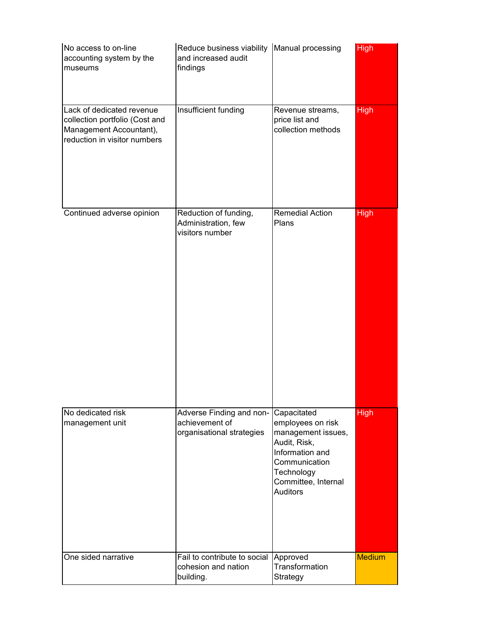| No access to on-line<br>accounting system by the<br>museums                                                            | Reduce business viability Manual processing<br>and increased audit<br>findings |                                                                                                                                                                    | <b>High</b>   |
|------------------------------------------------------------------------------------------------------------------------|--------------------------------------------------------------------------------|--------------------------------------------------------------------------------------------------------------------------------------------------------------------|---------------|
| Lack of dedicated revenue<br>collection portfolio (Cost and<br>Management Accountant),<br>reduction in visitor numbers | Insufficient funding                                                           | Revenue streams,<br>price list and<br>collection methods                                                                                                           | <b>High</b>   |
| Continued adverse opinion                                                                                              | Reduction of funding,<br>Administration, few<br>visitors number                | <b>Remedial Action</b><br>Plans                                                                                                                                    | <b>High</b>   |
| No dedicated risk<br>management unit                                                                                   | Adverse Finding and non-<br>achievement of<br>organisational strategies        | Capacitated<br>employees on risk<br>management issues,<br>Audit, Risk,<br>Information and<br>Communication<br>Technology<br>Committee, Internal<br><b>Auditors</b> | <b>High</b>   |
| One sided narrative                                                                                                    | Fail to contribute to social<br>cohesion and nation<br>building.               | Approved<br>Transformation<br>Strategy                                                                                                                             | <b>Medium</b> |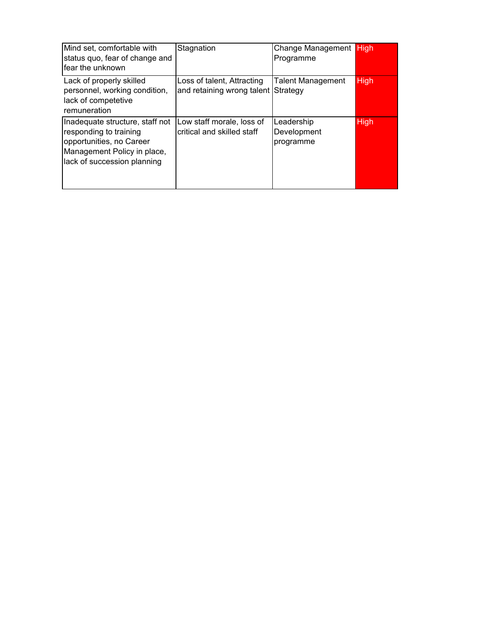| Mind set, comfortable with<br>status quo, fear of change and<br>fear the unknown                                                                    | Stagnation                                                        | Change Management High<br>Programme    |             |
|-----------------------------------------------------------------------------------------------------------------------------------------------------|-------------------------------------------------------------------|----------------------------------------|-------------|
| Lack of properly skilled<br>personnel, working condition,<br>lack of competetive<br>remuneration                                                    | Loss of talent, Attracting<br>and retaining wrong talent Strategy | <b>Talent Management</b>               | <b>High</b> |
| Inadequate structure, staff not<br>responding to training<br>opportunities, no Career<br>Management Policy in place,<br>lack of succession planning | Low staff morale, loss of<br>critical and skilled staff           | Leadership<br>Development<br>programme | <b>High</b> |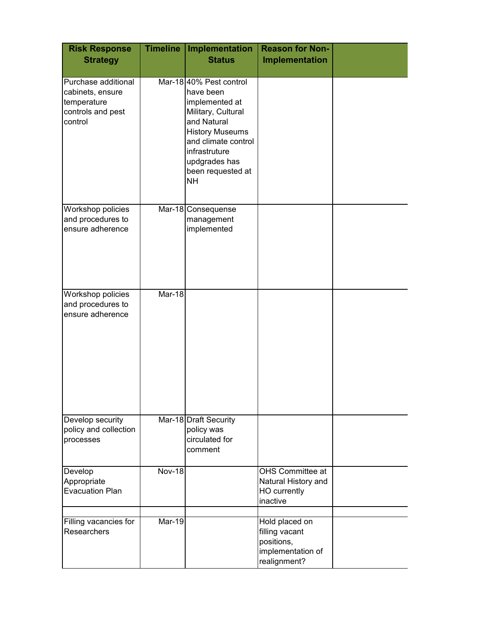| <b>Risk Response</b><br><b>Strategy</b>                                                | <b>Timeline</b> | <b>Implementation</b><br><b>Status</b>                                                                                                                                                                          | <b>Reason for Non-</b><br>Implementation                                            |  |
|----------------------------------------------------------------------------------------|-----------------|-----------------------------------------------------------------------------------------------------------------------------------------------------------------------------------------------------------------|-------------------------------------------------------------------------------------|--|
| Purchase additional<br>cabinets, ensure<br>temperature<br>controls and pest<br>control |                 | Mar-1840% Pest control<br>have been<br>implemented at<br>Military, Cultural<br>and Natural<br><b>History Museums</b><br>and climate control<br>infrastruture<br>updgrades has<br>been requested at<br><b>NH</b> |                                                                                     |  |
| Workshop policies<br>and procedures to<br>ensure adherence                             |                 | Mar-18 Consequense<br>management<br>implemented                                                                                                                                                                 |                                                                                     |  |
| Workshop policies<br>and procedures to<br>ensure adherence                             | Mar-18          |                                                                                                                                                                                                                 |                                                                                     |  |
| Develop security<br>policy and collection<br>processes                                 |                 | Mar-18 Draft Security<br>policy was<br>circulated for<br>comment                                                                                                                                                |                                                                                     |  |
| Develop<br>Appropriate<br><b>Evacuation Plan</b>                                       | <b>Nov-18</b>   |                                                                                                                                                                                                                 | OHS Committee at<br>Natural History and<br>HO currently<br>inactive                 |  |
| Filling vacancies for<br><b>Researchers</b>                                            | Mar-19          |                                                                                                                                                                                                                 | Hold placed on<br>filling vacant<br>positions,<br>implementation of<br>realignment? |  |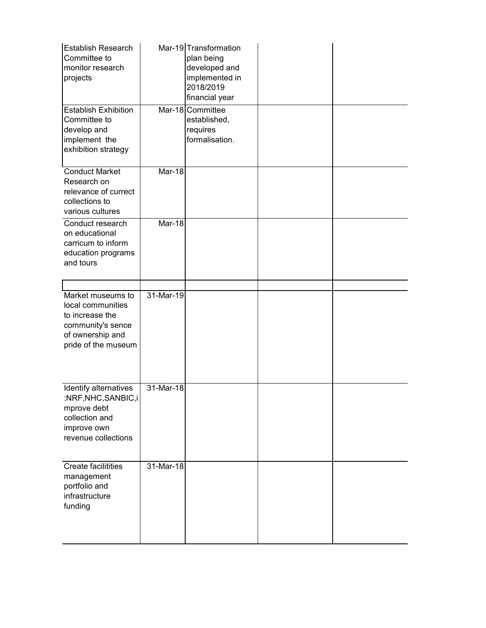| Establish Research<br>Committee to<br>monitor research<br>projects                                                        |           | Mar-19 Transformation<br>plan being<br>developed and<br>implemented in<br>2018/2019<br>financial year |  |
|---------------------------------------------------------------------------------------------------------------------------|-----------|-------------------------------------------------------------------------------------------------------|--|
| <b>Establish Exhibition</b><br>Committee to<br>develop and<br>implement the<br>exhibition strategy                        |           | Mar-18 Committee<br>established,<br>requires<br>formalisation.                                        |  |
| <b>Conduct Market</b><br>Research on<br>relevance of currect<br>collections to<br>various cultures                        | Mar-18    |                                                                                                       |  |
| Conduct research<br>on educational<br>carricum to inform<br>education programs<br>and tours                               | Mar-18    |                                                                                                       |  |
| Market museums to<br>local communities<br>to increase the<br>community's sence<br>of ownership and<br>pride of the museum | 31-Mar-19 |                                                                                                       |  |
| Identify alternatives<br>:NRF, NHC, SANBIC, i<br>mprove debt<br>collection and<br>improve own<br>revenue collections      | 31-Mar-18 |                                                                                                       |  |
| Create facilitities<br>management<br>portfolio and<br>infrastructure<br>funding                                           | 31-Mar-18 |                                                                                                       |  |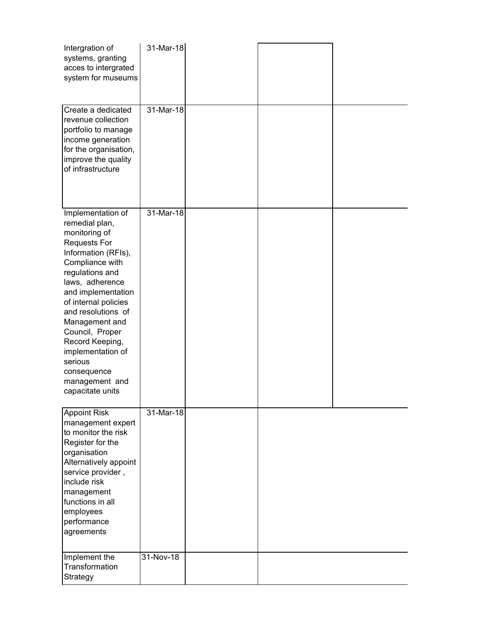| Intergration of<br>systems, granting<br>acces to intergrated<br>system for museums                                                                                                                                                                                                                                                                                           | 31-Mar-18    |  |  |
|------------------------------------------------------------------------------------------------------------------------------------------------------------------------------------------------------------------------------------------------------------------------------------------------------------------------------------------------------------------------------|--------------|--|--|
| Create a dedicated<br>revenue collection<br>portfolio to manage<br>income generation<br>for the organisation,<br>improve the quality<br>of infrastructure                                                                                                                                                                                                                    | $31$ -Mar-18 |  |  |
| Implementation of<br>remedial plan,<br>monitoring of<br><b>Requests For</b><br>Information (RFIs),<br>Compliance with<br>regulations and<br>laws, adherence<br>and implementation<br>of internal policies<br>and resolutions of<br>Management and<br>Council, Proper<br>Record Keeping,<br>implementation of<br>serious<br>consequence<br>management and<br>capacitate units | 31-Mar-18    |  |  |
| <b>Appoint Risk</b><br>management expert<br>to monitor the risk<br>Register for the<br>organisation<br>Alternatively appoint<br>service provider,<br>include risk<br>management<br>functions in all<br>employees<br>performance<br>agreements                                                                                                                                | 31-Mar-18    |  |  |
| Implement the<br>Transformation<br>Strategy                                                                                                                                                                                                                                                                                                                                  | 31-Nov-18    |  |  |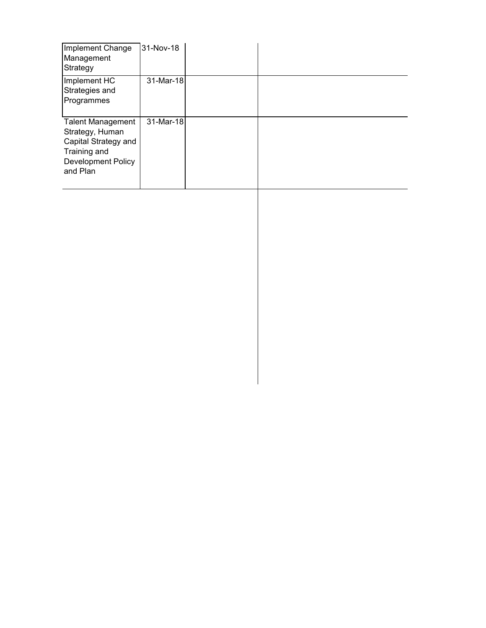| Implement Change<br>Management<br>Strategy                                                                            | 31-Nov-18 |  |
|-----------------------------------------------------------------------------------------------------------------------|-----------|--|
| Implement HC<br>Strategies and<br>Programmes                                                                          | 31-Mar-18 |  |
| <b>Talent Management</b><br>Strategy, Human<br>Capital Strategy and<br>Training and<br>Development Policy<br>and Plan | 31-Mar-18 |  |